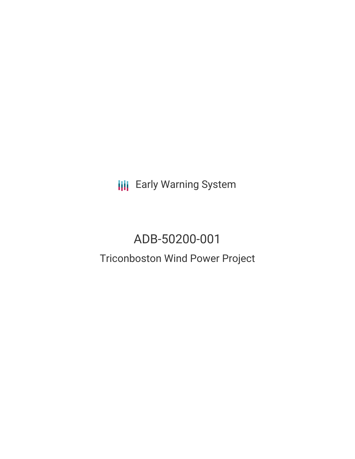**III** Early Warning System

# ADB-50200-001 Triconboston Wind Power Project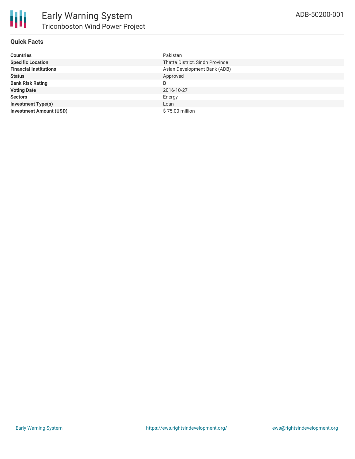### **Quick Facts**

| <b>Countries</b>               | Pakistan                        |
|--------------------------------|---------------------------------|
| <b>Specific Location</b>       | Thatta District, Sindh Province |
| <b>Financial Institutions</b>  | Asian Development Bank (ADB)    |
| <b>Status</b>                  | Approved                        |
| <b>Bank Risk Rating</b>        | B                               |
| <b>Voting Date</b>             | 2016-10-27                      |
| <b>Sectors</b>                 | Energy                          |
| <b>Investment Type(s)</b>      | Loan                            |
| <b>Investment Amount (USD)</b> | \$75.00 million                 |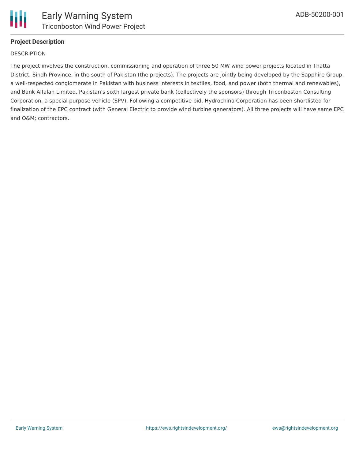

## **Project Description**

#### **DESCRIPTION**

The project involves the construction, commissioning and operation of three 50 MW wind power projects located in Thatta District, Sindh Province, in the south of Pakistan (the projects). The projects are jointly being developed by the Sapphire Group, a well-respected conglomerate in Pakistan with business interests in textiles, food, and power (both thermal and renewables), and Bank Alfalah Limited, Pakistan's sixth largest private bank (collectively the sponsors) through Triconboston Consulting Corporation, a special purpose vehicle (SPV). Following a competitive bid, Hydrochina Corporation has been shortlisted for finalization of the EPC contract (with General Electric to provide wind turbine generators). All three projects will have same EPC and O&M; contractors.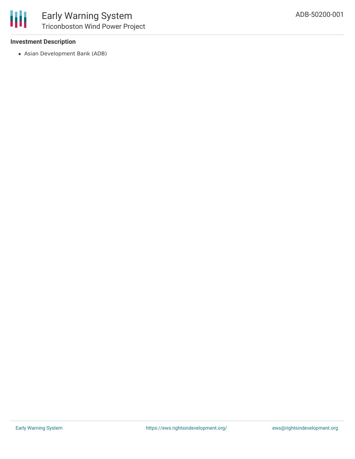

#### **Investment Description**

Asian Development Bank (ADB)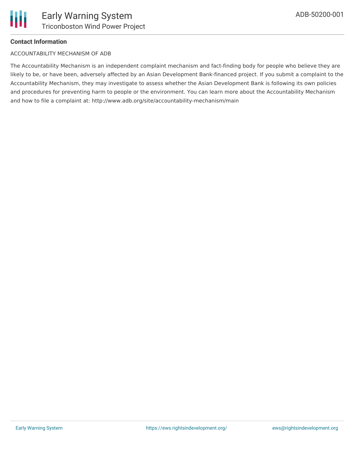

#### **Contact Information**

#### ACCOUNTABILITY MECHANISM OF ADB

The Accountability Mechanism is an independent complaint mechanism and fact-finding body for people who believe they are likely to be, or have been, adversely affected by an Asian Development Bank-financed project. If you submit a complaint to the Accountability Mechanism, they may investigate to assess whether the Asian Development Bank is following its own policies and procedures for preventing harm to people or the environment. You can learn more about the Accountability Mechanism and how to file a complaint at: http://www.adb.org/site/accountability-mechanism/main